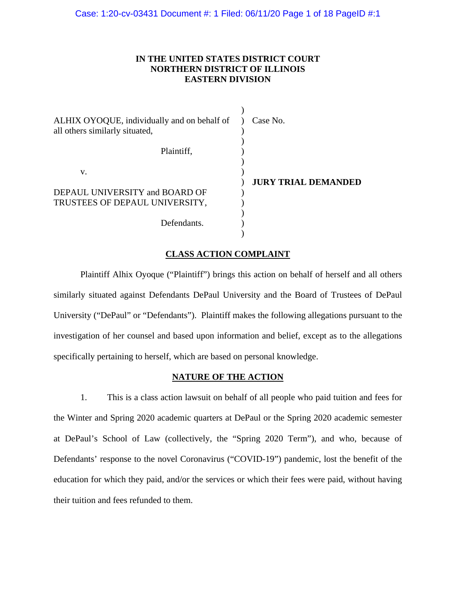## **IN THE UNITED STATES DISTRICT COURT NORTHERN DISTRICT OF ILLINOIS EASTERN DIVISION**

| ALHIX OYOQUE, individually and on behalf of<br>all others similarly situated, | Case No.                   |
|-------------------------------------------------------------------------------|----------------------------|
| Plaintiff,                                                                    |                            |
| V.                                                                            | <b>JURY TRIAL DEMANDED</b> |
| DEPAUL UNIVERSITY and BOARD OF                                                |                            |
| TRUSTEES OF DEPAUL UNIVERSITY,                                                |                            |
|                                                                               |                            |
| Defendants.                                                                   |                            |
|                                                                               |                            |

# **CLASS ACTION COMPLAINT**

Plaintiff Alhix Oyoque ("Plaintiff") brings this action on behalf of herself and all others similarly situated against Defendants DePaul University and the Board of Trustees of DePaul University ("DePaul" or "Defendants"). Plaintiff makes the following allegations pursuant to the investigation of her counsel and based upon information and belief, except as to the allegations specifically pertaining to herself, which are based on personal knowledge.

## **NATURE OF THE ACTION**

1. This is a class action lawsuit on behalf of all people who paid tuition and fees for the Winter and Spring 2020 academic quarters at DePaul or the Spring 2020 academic semester at DePaul's School of Law (collectively, the "Spring 2020 Term"), and who, because of Defendants' response to the novel Coronavirus ("COVID-19") pandemic, lost the benefit of the education for which they paid, and/or the services or which their fees were paid, without having their tuition and fees refunded to them.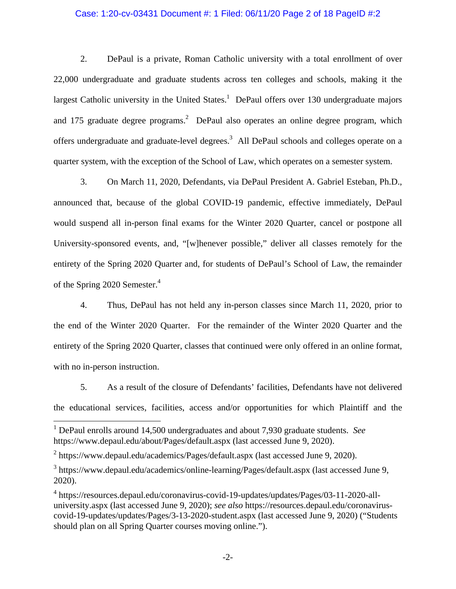## Case: 1:20-cv-03431 Document #: 1 Filed: 06/11/20 Page 2 of 18 PageID #:2

2. DePaul is a private, Roman Catholic university with a total enrollment of over 22,000 undergraduate and graduate students across ten colleges and schools, making it the largest Catholic university in the United States.<sup>1</sup> DePaul offers over 130 undergraduate majors and 175 graduate degree programs.<sup>2</sup> DePaul also operates an online degree program, which offers undergraduate and graduate-level degrees.<sup>3</sup> All DePaul schools and colleges operate on a quarter system, with the exception of the School of Law, which operates on a semester system.

3. On March 11, 2020, Defendants, via DePaul President A. Gabriel Esteban, Ph.D., announced that, because of the global COVID-19 pandemic, effective immediately, DePaul would suspend all in-person final exams for the Winter 2020 Quarter, cancel or postpone all University-sponsored events, and, "[w]henever possible," deliver all classes remotely for the entirety of the Spring 2020 Quarter and, for students of DePaul's School of Law, the remainder of the Spring 2020 Semester.<sup>4</sup>

4. Thus, DePaul has not held any in-person classes since March 11, 2020, prior to the end of the Winter 2020 Quarter. For the remainder of the Winter 2020 Quarter and the entirety of the Spring 2020 Quarter, classes that continued were only offered in an online format, with no in-person instruction.

5. As a result of the closure of Defendants' facilities, Defendants have not delivered the educational services, facilities, access and/or opportunities for which Plaintiff and the

 1 DePaul enrolls around 14,500 undergraduates and about 7,930 graduate students. *See*  https://www.depaul.edu/about/Pages/default.aspx (last accessed June 9, 2020).

 $2$  https://www.depaul.edu/academics/Pages/default.aspx (last accessed June 9, 2020).

<sup>&</sup>lt;sup>3</sup> https://www.depaul.edu/academics/online-learning/Pages/default.aspx (last accessed June 9, 2020).

<sup>4</sup> https://resources.depaul.edu/coronavirus-covid-19-updates/updates/Pages/03-11-2020-alluniversity.aspx (last accessed June 9, 2020); *see also* https://resources.depaul.edu/coronaviruscovid-19-updates/updates/Pages/3-13-2020-student.aspx (last accessed June 9, 2020) ("Students should plan on all Spring Quarter courses moving online.").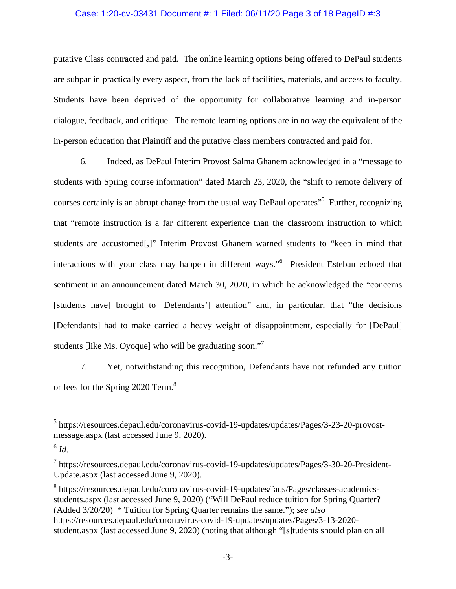## Case: 1:20-cv-03431 Document #: 1 Filed: 06/11/20 Page 3 of 18 PageID #:3

putative Class contracted and paid. The online learning options being offered to DePaul students are subpar in practically every aspect, from the lack of facilities, materials, and access to faculty. Students have been deprived of the opportunity for collaborative learning and in-person dialogue, feedback, and critique. The remote learning options are in no way the equivalent of the in-person education that Plaintiff and the putative class members contracted and paid for.

6. Indeed, as DePaul Interim Provost Salma Ghanem acknowledged in a "message to students with Spring course information" dated March 23, 2020, the "shift to remote delivery of courses certainly is an abrupt change from the usual way DePaul operates<sup>55</sup> Further, recognizing that "remote instruction is a far different experience than the classroom instruction to which students are accustomed[,]" Interim Provost Ghanem warned students to "keep in mind that interactions with your class may happen in different ways."<sup>6</sup> President Esteban echoed that sentiment in an announcement dated March 30, 2020, in which he acknowledged the "concerns [students have] brought to [Defendants'] attention" and, in particular, that "the decisions [Defendants] had to make carried a heavy weight of disappointment, especially for [DePaul] students [like Ms. Oyoque] who will be graduating soon."<sup>7</sup>

7. Yet, notwithstanding this recognition, Defendants have not refunded any tuition or fees for the Spring 2020 Term.<sup>8</sup>

 $^6$  *Id.* 

1

<sup>8</sup> https://resources.depaul.edu/coronavirus-covid-19-updates/faqs/Pages/classes-academicsstudents.aspx (last accessed June 9, 2020) ("Will DePaul reduce tuition for Spring Quarter? (Added 3/20/20) \* Tuition for Spring Quarter remains the same."); *see also*  https://resources.depaul.edu/coronavirus-covid-19-updates/updates/Pages/3-13-2020 student.aspx (last accessed June 9, 2020) (noting that although "[s]tudents should plan on all

<sup>&</sup>lt;sup>5</sup> https://resources.depaul.edu/coronavirus-covid-19-updates/updates/Pages/3-23-20-provostmessage.aspx (last accessed June 9, 2020).

<sup>&</sup>lt;sup>7</sup> https://resources.depaul.edu/coronavirus-covid-19-updates/updates/Pages/3-30-20-President-Update.aspx (last accessed June 9, 2020).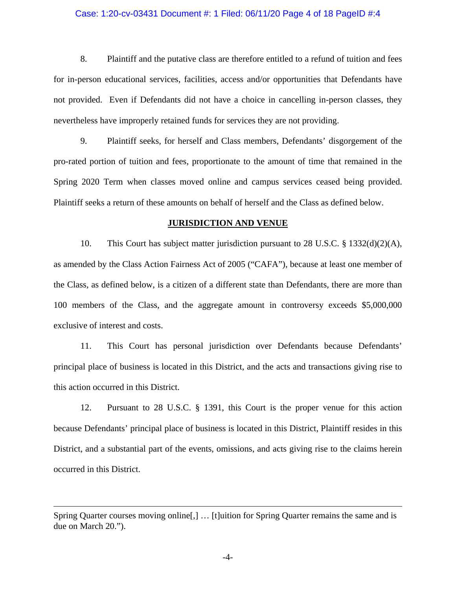#### Case: 1:20-cv-03431 Document #: 1 Filed: 06/11/20 Page 4 of 18 PageID #:4

8. Plaintiff and the putative class are therefore entitled to a refund of tuition and fees for in-person educational services, facilities, access and/or opportunities that Defendants have not provided. Even if Defendants did not have a choice in cancelling in-person classes, they nevertheless have improperly retained funds for services they are not providing.

9. Plaintiff seeks, for herself and Class members, Defendants' disgorgement of the pro-rated portion of tuition and fees, proportionate to the amount of time that remained in the Spring 2020 Term when classes moved online and campus services ceased being provided. Plaintiff seeks a return of these amounts on behalf of herself and the Class as defined below.

#### **JURISDICTION AND VENUE**

10. This Court has subject matter jurisdiction pursuant to 28 U.S.C. § 1332(d)(2)(A), as amended by the Class Action Fairness Act of 2005 ("CAFA"), because at least one member of the Class, as defined below, is a citizen of a different state than Defendants, there are more than 100 members of the Class, and the aggregate amount in controversy exceeds \$5,000,000 exclusive of interest and costs.

11. This Court has personal jurisdiction over Defendants because Defendants' principal place of business is located in this District, and the acts and transactions giving rise to this action occurred in this District.

12. Pursuant to 28 U.S.C. § 1391, this Court is the proper venue for this action because Defendants' principal place of business is located in this District, Plaintiff resides in this District, and a substantial part of the events, omissions, and acts giving rise to the claims herein occurred in this District.

 $\overline{a}$ 

Spring Quarter courses moving online[,] … [t]uition for Spring Quarter remains the same and is due on March 20.").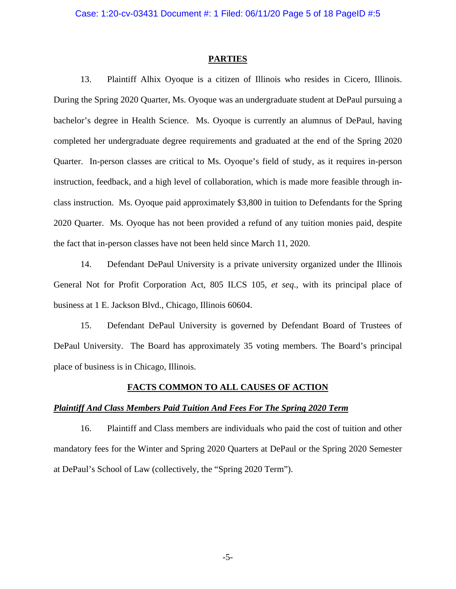#### **PARTIES**

13. Plaintiff Alhix Oyoque is a citizen of Illinois who resides in Cicero, Illinois. During the Spring 2020 Quarter, Ms. Oyoque was an undergraduate student at DePaul pursuing a bachelor's degree in Health Science. Ms. Oyoque is currently an alumnus of DePaul, having completed her undergraduate degree requirements and graduated at the end of the Spring 2020 Quarter. In-person classes are critical to Ms. Oyoque's field of study, as it requires in-person instruction, feedback, and a high level of collaboration, which is made more feasible through inclass instruction. Ms. Oyoque paid approximately \$3,800 in tuition to Defendants for the Spring 2020 Quarter. Ms. Oyoque has not been provided a refund of any tuition monies paid, despite the fact that in-person classes have not been held since March 11, 2020.

14. Defendant DePaul University is a private university organized under the Illinois General Not for Profit Corporation Act, 805 ILCS 105, *et seq*., with its principal place of business at 1 E. Jackson Blvd., Chicago, Illinois 60604.

15. Defendant DePaul University is governed by Defendant Board of Trustees of DePaul University. The Board has approximately 35 voting members. The Board's principal place of business is in Chicago, Illinois.

#### **FACTS COMMON TO ALL CAUSES OF ACTION**

#### *Plaintiff And Class Members Paid Tuition And Fees For The Spring 2020 Term*

16. Plaintiff and Class members are individuals who paid the cost of tuition and other mandatory fees for the Winter and Spring 2020 Quarters at DePaul or the Spring 2020 Semester at DePaul's School of Law (collectively, the "Spring 2020 Term").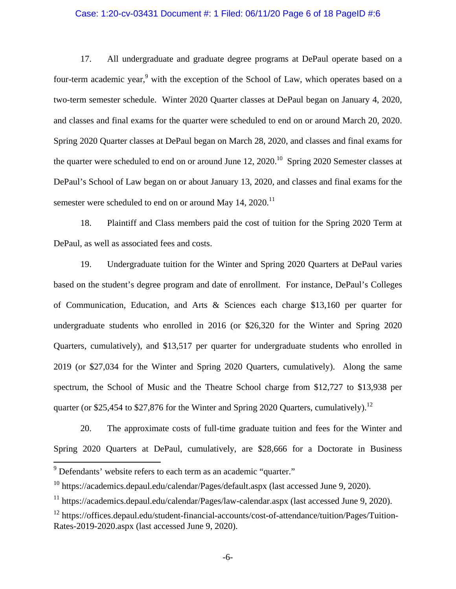#### Case: 1:20-cv-03431 Document #: 1 Filed: 06/11/20 Page 6 of 18 PageID #:6

17. All undergraduate and graduate degree programs at DePaul operate based on a four-term academic year,<sup>9</sup> with the exception of the School of Law, which operates based on a two-term semester schedule. Winter 2020 Quarter classes at DePaul began on January 4, 2020, and classes and final exams for the quarter were scheduled to end on or around March 20, 2020. Spring 2020 Quarter classes at DePaul began on March 28, 2020, and classes and final exams for the quarter were scheduled to end on or around June  $12$ ,  $2020$ .<sup>10</sup> Spring 2020 Semester classes at DePaul's School of Law began on or about January 13, 2020, and classes and final exams for the semester were scheduled to end on or around May  $14, 2020$ .<sup>11</sup>

18. Plaintiff and Class members paid the cost of tuition for the Spring 2020 Term at DePaul, as well as associated fees and costs.

19. Undergraduate tuition for the Winter and Spring 2020 Quarters at DePaul varies based on the student's degree program and date of enrollment. For instance, DePaul's Colleges of Communication, Education, and Arts & Sciences each charge \$13,160 per quarter for undergraduate students who enrolled in 2016 (or \$26,320 for the Winter and Spring 2020 Quarters, cumulatively), and \$13,517 per quarter for undergraduate students who enrolled in 2019 (or \$27,034 for the Winter and Spring 2020 Quarters, cumulatively). Along the same spectrum, the School of Music and the Theatre School charge from \$12,727 to \$13,938 per quarter (or \$25,454 to \$27,876 for the Winter and Spring 2020 Quarters, cumulatively).<sup>12</sup>

20. The approximate costs of full-time graduate tuition and fees for the Winter and Spring 2020 Quarters at DePaul, cumulatively, are \$28,666 for a Doctorate in Business

 $\overline{a}$ 

<sup>&</sup>lt;sup>9</sup> Defendants' website refers to each term as an academic "quarter."

 $10$  https://academics.depaul.edu/calendar/Pages/default.aspx (last accessed June 9, 2020).

 $11$  https://academics.depaul.edu/calendar/Pages/law-calendar.aspx (last accessed June 9, 2020).

<sup>&</sup>lt;sup>12</sup> https://offices.depaul.edu/student-financial-accounts/cost-of-attendance/tuition/Pages/Tuition-Rates-2019-2020.aspx (last accessed June 9, 2020).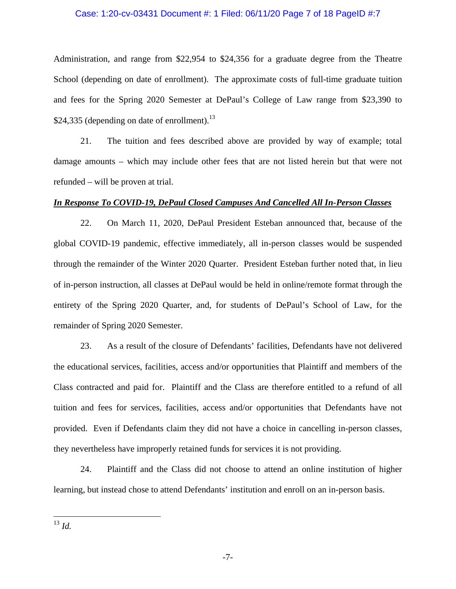## Case: 1:20-cv-03431 Document #: 1 Filed: 06/11/20 Page 7 of 18 PageID #:7

Administration, and range from \$22,954 to \$24,356 for a graduate degree from the Theatre School (depending on date of enrollment). The approximate costs of full-time graduate tuition and fees for the Spring 2020 Semester at DePaul's College of Law range from \$23,390 to \$24,335 (depending on date of enrollment).<sup>13</sup>

21. The tuition and fees described above are provided by way of example; total damage amounts – which may include other fees that are not listed herein but that were not refunded – will be proven at trial.

## *In Response To COVID-19, DePaul Closed Campuses And Cancelled All In-Person Classes*

22. On March 11, 2020, DePaul President Esteban announced that, because of the global COVID-19 pandemic, effective immediately, all in-person classes would be suspended through the remainder of the Winter 2020 Quarter. President Esteban further noted that, in lieu of in-person instruction, all classes at DePaul would be held in online/remote format through the entirety of the Spring 2020 Quarter, and, for students of DePaul's School of Law, for the remainder of Spring 2020 Semester.

23. As a result of the closure of Defendants' facilities, Defendants have not delivered the educational services, facilities, access and/or opportunities that Plaintiff and members of the Class contracted and paid for. Plaintiff and the Class are therefore entitled to a refund of all tuition and fees for services, facilities, access and/or opportunities that Defendants have not provided. Even if Defendants claim they did not have a choice in cancelling in-person classes, they nevertheless have improperly retained funds for services it is not providing.

24. Plaintiff and the Class did not choose to attend an online institution of higher learning, but instead chose to attend Defendants' institution and enroll on an in-person basis.

<sup>13</sup> *Id.* 

<u>.</u>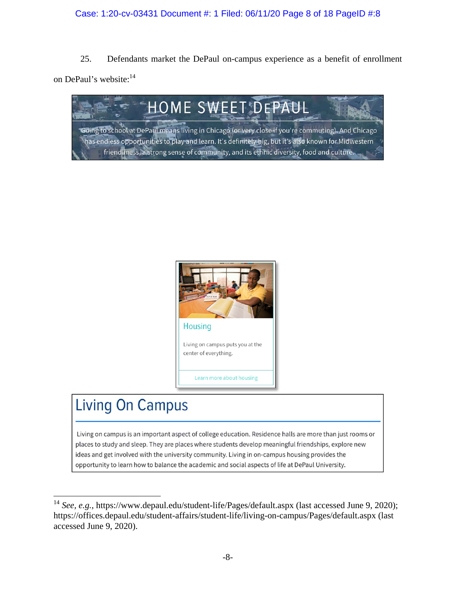# Case: 1:20-cv-03431 Document #: 1 Filed: 06/11/20 Page 8 of 18 PageID #:8

25. Defendants market the DePaul on-campus experience as a benefit of enrollment on DePaul's website:<sup>14</sup>





# **Living On Campus**

1

Living on campus is an important aspect of college education. Residence halls are more than just rooms or places to study and sleep. They are places where students develop meaningful friendships, explore new ideas and get involved with the university community. Living in on-campus housing provides the opportunity to learn how to balance the academic and social aspects of life at DePaul University.

<sup>&</sup>lt;sup>14</sup> *See, e.g.*, https://www.depaul.edu/student-life/Pages/default.aspx (last accessed June 9, 2020); https://offices.depaul.edu/student-affairs/student-life/living-on-campus/Pages/default.aspx (last accessed June 9, 2020).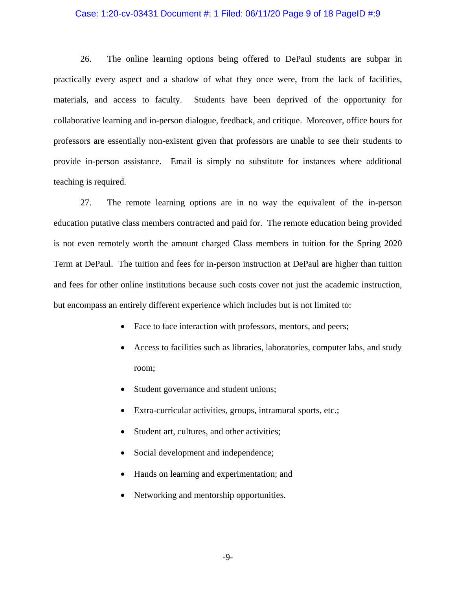#### Case: 1:20-cv-03431 Document #: 1 Filed: 06/11/20 Page 9 of 18 PageID #:9

26. The online learning options being offered to DePaul students are subpar in practically every aspect and a shadow of what they once were, from the lack of facilities, materials, and access to faculty. Students have been deprived of the opportunity for collaborative learning and in-person dialogue, feedback, and critique. Moreover, office hours for professors are essentially non-existent given that professors are unable to see their students to provide in-person assistance. Email is simply no substitute for instances where additional teaching is required.

27. The remote learning options are in no way the equivalent of the in-person education putative class members contracted and paid for. The remote education being provided is not even remotely worth the amount charged Class members in tuition for the Spring 2020 Term at DePaul. The tuition and fees for in-person instruction at DePaul are higher than tuition and fees for other online institutions because such costs cover not just the academic instruction, but encompass an entirely different experience which includes but is not limited to:

- Face to face interaction with professors, mentors, and peers;
- Access to facilities such as libraries, laboratories, computer labs, and study room;
- Student governance and student unions;
- Extra-curricular activities, groups, intramural sports, etc.;
- Student art, cultures, and other activities;
- Social development and independence;
- Hands on learning and experimentation; and
- Networking and mentorship opportunities.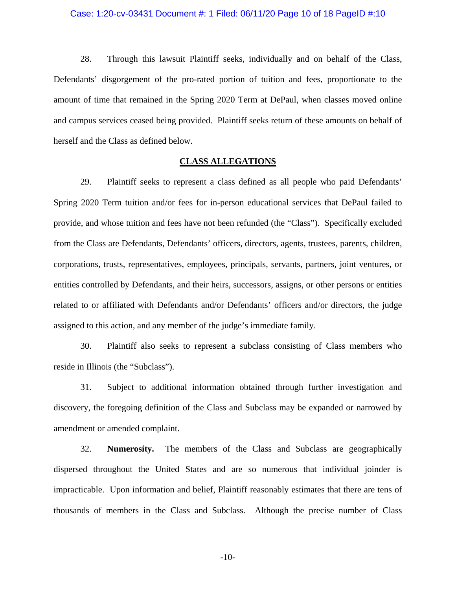#### Case: 1:20-cv-03431 Document #: 1 Filed: 06/11/20 Page 10 of 18 PageID #:10

28. Through this lawsuit Plaintiff seeks, individually and on behalf of the Class, Defendants' disgorgement of the pro-rated portion of tuition and fees, proportionate to the amount of time that remained in the Spring 2020 Term at DePaul, when classes moved online and campus services ceased being provided. Plaintiff seeks return of these amounts on behalf of herself and the Class as defined below.

## **CLASS ALLEGATIONS**

29. Plaintiff seeks to represent a class defined as all people who paid Defendants' Spring 2020 Term tuition and/or fees for in-person educational services that DePaul failed to provide, and whose tuition and fees have not been refunded (the "Class"). Specifically excluded from the Class are Defendants, Defendants' officers, directors, agents, trustees, parents, children, corporations, trusts, representatives, employees, principals, servants, partners, joint ventures, or entities controlled by Defendants, and their heirs, successors, assigns, or other persons or entities related to or affiliated with Defendants and/or Defendants' officers and/or directors, the judge assigned to this action, and any member of the judge's immediate family.

30. Plaintiff also seeks to represent a subclass consisting of Class members who reside in Illinois (the "Subclass").

31. Subject to additional information obtained through further investigation and discovery, the foregoing definition of the Class and Subclass may be expanded or narrowed by amendment or amended complaint.

32. **Numerosity.** The members of the Class and Subclass are geographically dispersed throughout the United States and are so numerous that individual joinder is impracticable. Upon information and belief, Plaintiff reasonably estimates that there are tens of thousands of members in the Class and Subclass. Although the precise number of Class

-10-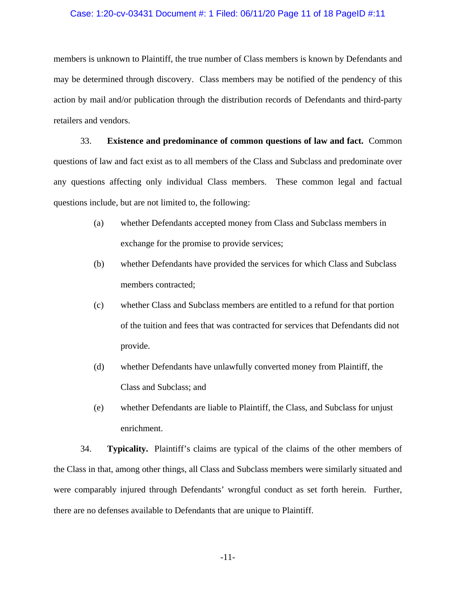#### Case: 1:20-cv-03431 Document #: 1 Filed: 06/11/20 Page 11 of 18 PageID #:11

members is unknown to Plaintiff, the true number of Class members is known by Defendants and may be determined through discovery. Class members may be notified of the pendency of this action by mail and/or publication through the distribution records of Defendants and third-party retailers and vendors.

33. **Existence and predominance of common questions of law and fact.** Common questions of law and fact exist as to all members of the Class and Subclass and predominate over any questions affecting only individual Class members. These common legal and factual questions include, but are not limited to, the following:

- (a) whether Defendants accepted money from Class and Subclass members in exchange for the promise to provide services;
- (b) whether Defendants have provided the services for which Class and Subclass members contracted;
- (c) whether Class and Subclass members are entitled to a refund for that portion of the tuition and fees that was contracted for services that Defendants did not provide.
- (d) whether Defendants have unlawfully converted money from Plaintiff, the Class and Subclass; and
- (e) whether Defendants are liable to Plaintiff, the Class, and Subclass for unjust enrichment.

34. **Typicality.** Plaintiff's claims are typical of the claims of the other members of the Class in that, among other things, all Class and Subclass members were similarly situated and were comparably injured through Defendants' wrongful conduct as set forth herein. Further, there are no defenses available to Defendants that are unique to Plaintiff.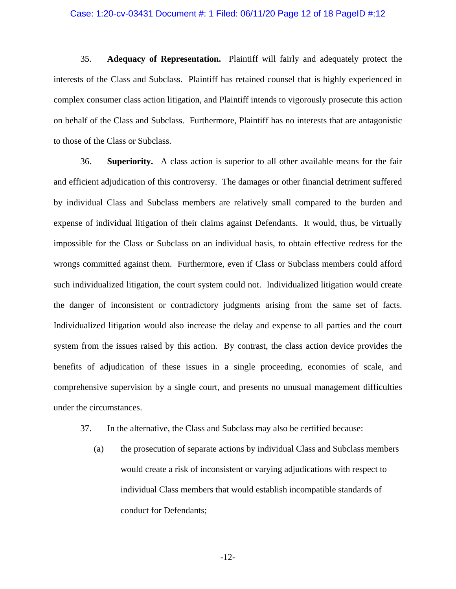#### Case: 1:20-cv-03431 Document #: 1 Filed: 06/11/20 Page 12 of 18 PageID #:12

35. **Adequacy of Representation.** Plaintiff will fairly and adequately protect the interests of the Class and Subclass. Plaintiff has retained counsel that is highly experienced in complex consumer class action litigation, and Plaintiff intends to vigorously prosecute this action on behalf of the Class and Subclass. Furthermore, Plaintiff has no interests that are antagonistic to those of the Class or Subclass.

36. **Superiority.** A class action is superior to all other available means for the fair and efficient adjudication of this controversy. The damages or other financial detriment suffered by individual Class and Subclass members are relatively small compared to the burden and expense of individual litigation of their claims against Defendants. It would, thus, be virtually impossible for the Class or Subclass on an individual basis, to obtain effective redress for the wrongs committed against them. Furthermore, even if Class or Subclass members could afford such individualized litigation, the court system could not. Individualized litigation would create the danger of inconsistent or contradictory judgments arising from the same set of facts. Individualized litigation would also increase the delay and expense to all parties and the court system from the issues raised by this action. By contrast, the class action device provides the benefits of adjudication of these issues in a single proceeding, economies of scale, and comprehensive supervision by a single court, and presents no unusual management difficulties under the circumstances.

- 37. In the alternative, the Class and Subclass may also be certified because:
	- (a) the prosecution of separate actions by individual Class and Subclass members would create a risk of inconsistent or varying adjudications with respect to individual Class members that would establish incompatible standards of conduct for Defendants;

-12-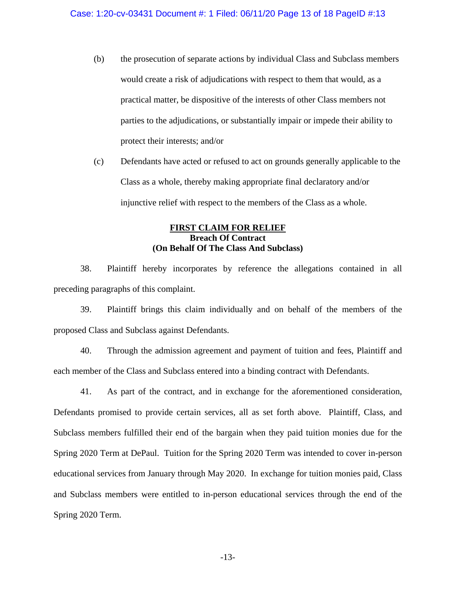- (b) the prosecution of separate actions by individual Class and Subclass members would create a risk of adjudications with respect to them that would, as a practical matter, be dispositive of the interests of other Class members not parties to the adjudications, or substantially impair or impede their ability to protect their interests; and/or
- (c) Defendants have acted or refused to act on grounds generally applicable to the Class as a whole, thereby making appropriate final declaratory and/or injunctive relief with respect to the members of the Class as a whole.

## **FIRST CLAIM FOR RELIEF Breach Of Contract (On Behalf Of The Class And Subclass)**

38. Plaintiff hereby incorporates by reference the allegations contained in all preceding paragraphs of this complaint.

39. Plaintiff brings this claim individually and on behalf of the members of the proposed Class and Subclass against Defendants.

40. Through the admission agreement and payment of tuition and fees, Plaintiff and each member of the Class and Subclass entered into a binding contract with Defendants.

41. As part of the contract, and in exchange for the aforementioned consideration, Defendants promised to provide certain services, all as set forth above. Plaintiff, Class, and Subclass members fulfilled their end of the bargain when they paid tuition monies due for the Spring 2020 Term at DePaul. Tuition for the Spring 2020 Term was intended to cover in-person educational services from January through May 2020. In exchange for tuition monies paid, Class and Subclass members were entitled to in-person educational services through the end of the Spring 2020 Term.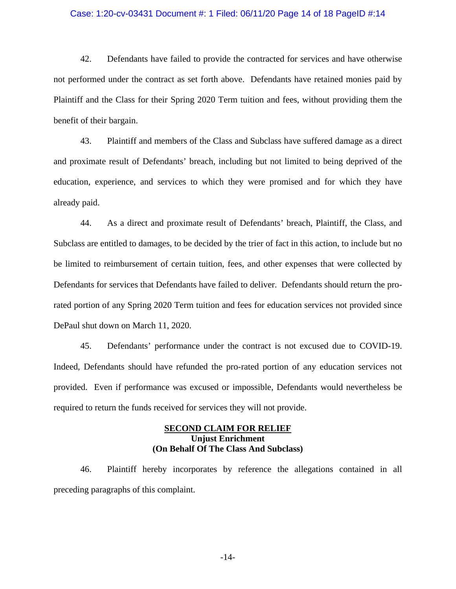#### Case: 1:20-cv-03431 Document #: 1 Filed: 06/11/20 Page 14 of 18 PageID #:14

42. Defendants have failed to provide the contracted for services and have otherwise not performed under the contract as set forth above. Defendants have retained monies paid by Plaintiff and the Class for their Spring 2020 Term tuition and fees, without providing them the benefit of their bargain.

43. Plaintiff and members of the Class and Subclass have suffered damage as a direct and proximate result of Defendants' breach, including but not limited to being deprived of the education, experience, and services to which they were promised and for which they have already paid.

44. As a direct and proximate result of Defendants' breach, Plaintiff, the Class, and Subclass are entitled to damages, to be decided by the trier of fact in this action, to include but no be limited to reimbursement of certain tuition, fees, and other expenses that were collected by Defendants for services that Defendants have failed to deliver. Defendants should return the prorated portion of any Spring 2020 Term tuition and fees for education services not provided since DePaul shut down on March 11, 2020.

45. Defendants' performance under the contract is not excused due to COVID-19. Indeed, Defendants should have refunded the pro-rated portion of any education services not provided. Even if performance was excused or impossible, Defendants would nevertheless be required to return the funds received for services they will not provide.

# **SECOND CLAIM FOR RELIEF Unjust Enrichment (On Behalf Of The Class And Subclass)**

46. Plaintiff hereby incorporates by reference the allegations contained in all preceding paragraphs of this complaint.

-14-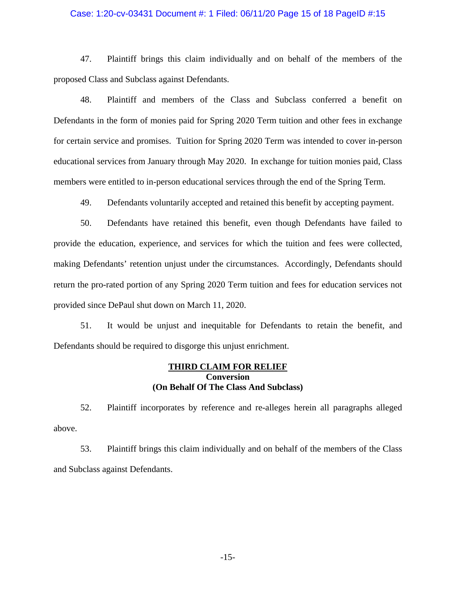#### Case: 1:20-cv-03431 Document #: 1 Filed: 06/11/20 Page 15 of 18 PageID #:15

47. Plaintiff brings this claim individually and on behalf of the members of the proposed Class and Subclass against Defendants.

48. Plaintiff and members of the Class and Subclass conferred a benefit on Defendants in the form of monies paid for Spring 2020 Term tuition and other fees in exchange for certain service and promises. Tuition for Spring 2020 Term was intended to cover in-person educational services from January through May 2020. In exchange for tuition monies paid, Class members were entitled to in-person educational services through the end of the Spring Term.

49. Defendants voluntarily accepted and retained this benefit by accepting payment.

50. Defendants have retained this benefit, even though Defendants have failed to provide the education, experience, and services for which the tuition and fees were collected, making Defendants' retention unjust under the circumstances. Accordingly, Defendants should return the pro-rated portion of any Spring 2020 Term tuition and fees for education services not provided since DePaul shut down on March 11, 2020.

51. It would be unjust and inequitable for Defendants to retain the benefit, and Defendants should be required to disgorge this unjust enrichment.

## **THIRD CLAIM FOR RELIEF Conversion (On Behalf Of The Class And Subclass)**

52. Plaintiff incorporates by reference and re-alleges herein all paragraphs alleged above.

53. Plaintiff brings this claim individually and on behalf of the members of the Class and Subclass against Defendants.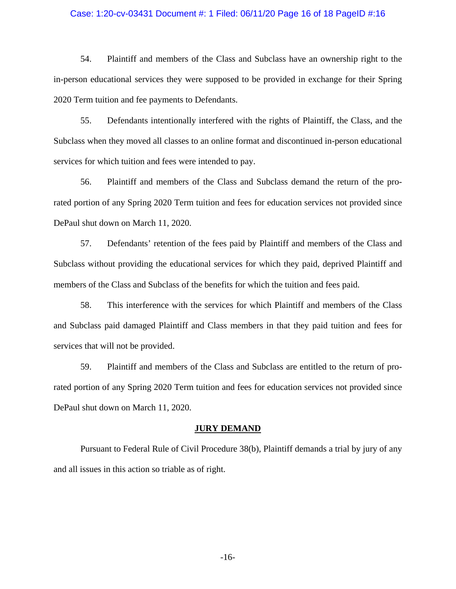#### Case: 1:20-cv-03431 Document #: 1 Filed: 06/11/20 Page 16 of 18 PageID #:16

54. Plaintiff and members of the Class and Subclass have an ownership right to the in-person educational services they were supposed to be provided in exchange for their Spring 2020 Term tuition and fee payments to Defendants.

55. Defendants intentionally interfered with the rights of Plaintiff, the Class, and the Subclass when they moved all classes to an online format and discontinued in-person educational services for which tuition and fees were intended to pay.

56. Plaintiff and members of the Class and Subclass demand the return of the prorated portion of any Spring 2020 Term tuition and fees for education services not provided since DePaul shut down on March 11, 2020.

57. Defendants' retention of the fees paid by Plaintiff and members of the Class and Subclass without providing the educational services for which they paid, deprived Plaintiff and members of the Class and Subclass of the benefits for which the tuition and fees paid.

58. This interference with the services for which Plaintiff and members of the Class and Subclass paid damaged Plaintiff and Class members in that they paid tuition and fees for services that will not be provided.

59. Plaintiff and members of the Class and Subclass are entitled to the return of prorated portion of any Spring 2020 Term tuition and fees for education services not provided since DePaul shut down on March 11, 2020.

#### **JURY DEMAND**

 Pursuant to Federal Rule of Civil Procedure 38(b), Plaintiff demands a trial by jury of any and all issues in this action so triable as of right.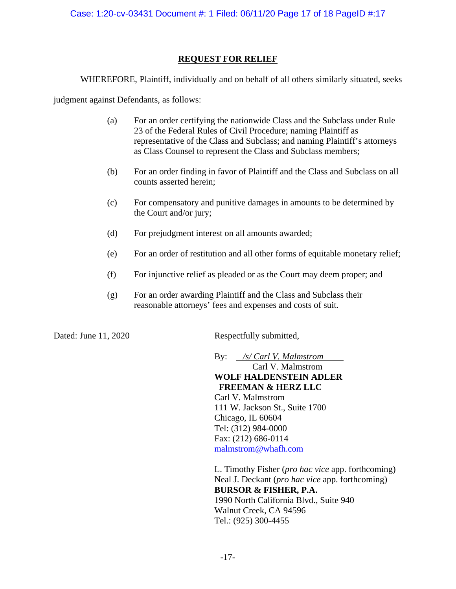# **REQUEST FOR RELIEF**

WHEREFORE, Plaintiff, individually and on behalf of all others similarly situated, seeks

judgment against Defendants, as follows:

- (a) For an order certifying the nationwide Class and the Subclass under Rule 23 of the Federal Rules of Civil Procedure; naming Plaintiff as representative of the Class and Subclass; and naming Plaintiff's attorneys as Class Counsel to represent the Class and Subclass members;
- (b) For an order finding in favor of Plaintiff and the Class and Subclass on all counts asserted herein;
- (c) For compensatory and punitive damages in amounts to be determined by the Court and/or jury;
- (d) For prejudgment interest on all amounts awarded;
- (e) For an order of restitution and all other forms of equitable monetary relief;
- (f) For injunctive relief as pleaded or as the Court may deem proper; and
- (g) For an order awarding Plaintiff and the Class and Subclass their reasonable attorneys' fees and expenses and costs of suit.

Dated: June 11, 2020 Respectfully submitted,

By: */s/ Carl V. Malmstrom*

Carl V. Malmstrom **WOLF HALDENSTEIN ADLER FREEMAN & HERZ LLC**  Carl V. Malmstrom 111 W. Jackson St., Suite 1700 Chicago, IL 60604 Tel: (312) 984-0000 Fax: (212) 686-0114 malmstrom@whafh.com

L. Timothy Fisher (*pro hac vice* app. forthcoming) Neal J. Deckant (*pro hac vice* app. forthcoming) **BURSOR & FISHER, P.A.**  1990 North California Blvd., Suite 940 Walnut Creek, CA 94596 Tel.: (925) 300-4455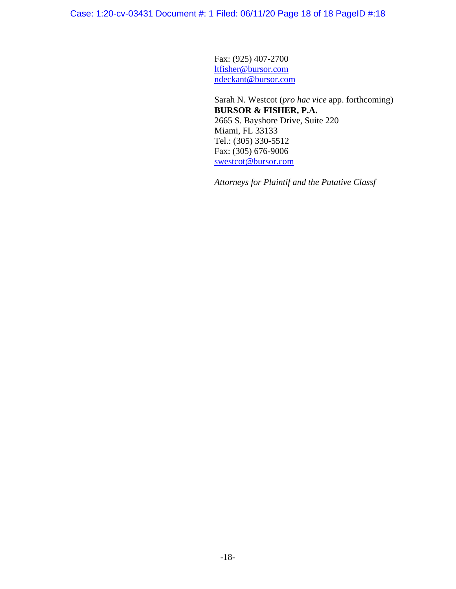Case: 1:20-cv-03431 Document #: 1 Filed: 06/11/20 Page 18 of 18 PageID #:18

Fax: (925) 407-2700 ltfisher@bursor.com ndeckant@bursor.com

Sarah N. Westcot (*pro hac vice* app. forthcoming) **BURSOR & FISHER, P.A.**  2665 S. Bayshore Drive, Suite 220 Miami, FL 33133 Tel.: (305) 330-5512 Fax: (305) 676-9006 swestcot@bursor.com

*Attorneys for Plaintif and the Putative Classf*